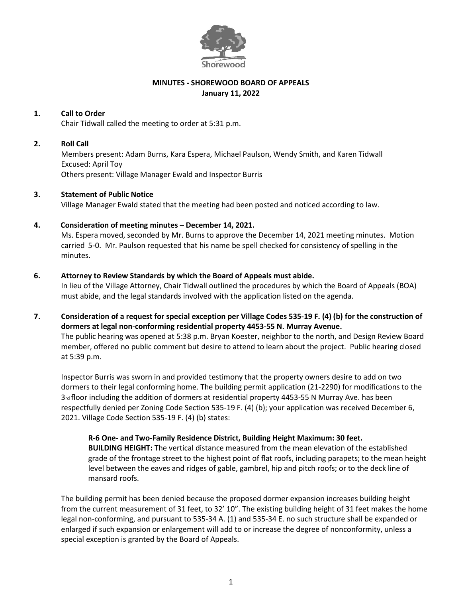

# **MINUTES - SHOREWOOD BOARD OF APPEALS January 11, 2022**

# **1. Call to Order**

Chair Tidwall called the meeting to order at 5:31 p.m.

### **2. Roll Call**

Members present: Adam Burns, Kara Espera, Michael Paulson, Wendy Smith, and Karen Tidwall Excused: April Toy Others present: Village Manager Ewald and Inspector Burris

#### **3. Statement of Public Notice**

Village Manager Ewald stated that the meeting had been posted and noticed according to law.

#### **4. Consideration of meeting minutes – December 14, 2021.**

Ms. Espera moved, seconded by Mr. Burns to approve the December 14, 2021 meeting minutes. Motion carried 5-0. Mr. Paulson requested that his name be spell checked for consistency of spelling in the minutes.

#### **6. Attorney to Review Standards by which the Board of Appeals must abide.**

In lieu of the Village Attorney, Chair Tidwall outlined the procedures by which the Board of Appeals (BOA) must abide, and the legal standards involved with the application listed on the agenda.

**7. Consideration of a request for special exception per Village Codes 535-19 F. (4) (b) for the construction of dormers at legal non-conforming residential property 4453-55 N. Murray Avenue.**

The public hearing was opened at 5:38 p.m. Bryan Koester, neighbor to the north, and Design Review Board member, offered no public comment but desire to attend to learn about the project. Public hearing closed at 5:39 p.m.

Inspector Burris was sworn in and provided testimony that the property owners desire to add on two dormers to their legal conforming home. The building permit application (21-2290) for modifications to the 3rd floor including the addition of dormers at residential property 4453-55 N Murray Ave. has been respectfully denied per Zoning Code Section 535-19 F. (4) (b); your application was received December 6, 2021. Village Code Section 535-19 F. (4) (b) states:

**R-6 One- and Two-Family Residence District, Building Height Maximum: 30 feet. BUILDING HEIGHT:** The vertical distance measured from the mean elevation of the established grade of the frontage street to the highest point of flat roofs, including parapets; to the mean height level between the eaves and ridges of gable, gambrel, hip and pitch roofs; or to the deck line of mansard roofs.

The building permit has been denied because the proposed dormer expansion increases building height from the current measurement of 31 feet, to 32' 10". The existing building height of 31 feet makes the home legal non-conforming, and pursuant to 535-34 A. (1) and 535-34 E. no such structure shall be expanded or enlarged if such expansion or enlargement will add to or increase the degree of nonconformity, unless a special exception is granted by the Board of Appeals.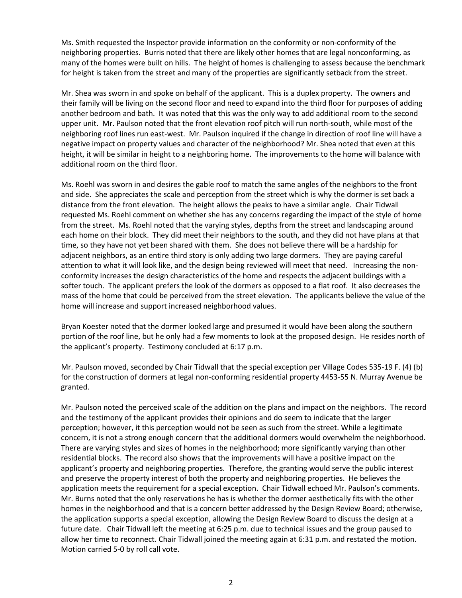Ms. Smith requested the Inspector provide information on the conformity or non-conformity of the neighboring properties. Burris noted that there are likely other homes that are legal nonconforming, as many of the homes were built on hills. The height of homes is challenging to assess because the benchmark for height is taken from the street and many of the properties are significantly setback from the street.

Mr. Shea was sworn in and spoke on behalf of the applicant. This is a duplex property. The owners and their family will be living on the second floor and need to expand into the third floor for purposes of adding another bedroom and bath. It was noted that this was the only way to add additional room to the second upper unit. Mr. Paulson noted that the front elevation roof pitch will run north-south, while most of the neighboring roof lines run east-west. Mr. Paulson inquired if the change in direction of roof line will have a negative impact on property values and character of the neighborhood? Mr. Shea noted that even at this height, it will be similar in height to a neighboring home. The improvements to the home will balance with additional room on the third floor.

Ms. Roehl was sworn in and desires the gable roof to match the same angles of the neighbors to the front and side. She appreciates the scale and perception from the street which is why the dormer is set back a distance from the front elevation. The height allows the peaks to have a similar angle. Chair Tidwall requested Ms. Roehl comment on whether she has any concerns regarding the impact of the style of home from the street. Ms. Roehl noted that the varying styles, depths from the street and landscaping around each home on their block. They did meet their neighbors to the south, and they did not have plans at that time, so they have not yet been shared with them. She does not believe there will be a hardship for adjacent neighbors, as an entire third story is only adding two large dormers. They are paying careful attention to what it will look like, and the design being reviewed will meet that need. Increasing the nonconformity increases the design characteristics of the home and respects the adjacent buildings with a softer touch. The applicant prefers the look of the dormers as opposed to a flat roof. It also decreases the mass of the home that could be perceived from the street elevation. The applicants believe the value of the home will increase and support increased neighborhood values.

Bryan Koester noted that the dormer looked large and presumed it would have been along the southern portion of the roof line, but he only had a few moments to look at the proposed design. He resides north of the applicant's property. Testimony concluded at 6:17 p.m.

Mr. Paulson moved, seconded by Chair Tidwall that the special exception per Village Codes 535-19 F. (4) (b) for the construction of dormers at legal non-conforming residential property 4453-55 N. Murray Avenue be granted.

Mr. Paulson noted the perceived scale of the addition on the plans and impact on the neighbors. The record and the testimony of the applicant provides their opinions and do seem to indicate that the larger perception; however, it this perception would not be seen as such from the street. While a legitimate concern, it is not a strong enough concern that the additional dormers would overwhelm the neighborhood. There are varying styles and sizes of homes in the neighborhood; more significantly varying than other residential blocks. The record also shows that the improvements will have a positive impact on the applicant's property and neighboring properties. Therefore, the granting would serve the public interest and preserve the property interest of both the property and neighboring properties. He believes the application meets the requirement for a special exception. Chair Tidwall echoed Mr. Paulson's comments. Mr. Burns noted that the only reservations he has is whether the dormer aesthetically fits with the other homes in the neighborhood and that is a concern better addressed by the Design Review Board; otherwise, the application supports a special exception, allowing the Design Review Board to discuss the design at a future date. Chair Tidwall left the meeting at 6:25 p.m. due to technical issues and the group paused to allow her time to reconnect. Chair Tidwall joined the meeting again at 6:31 p.m. and restated the motion. Motion carried 5-0 by roll call vote.